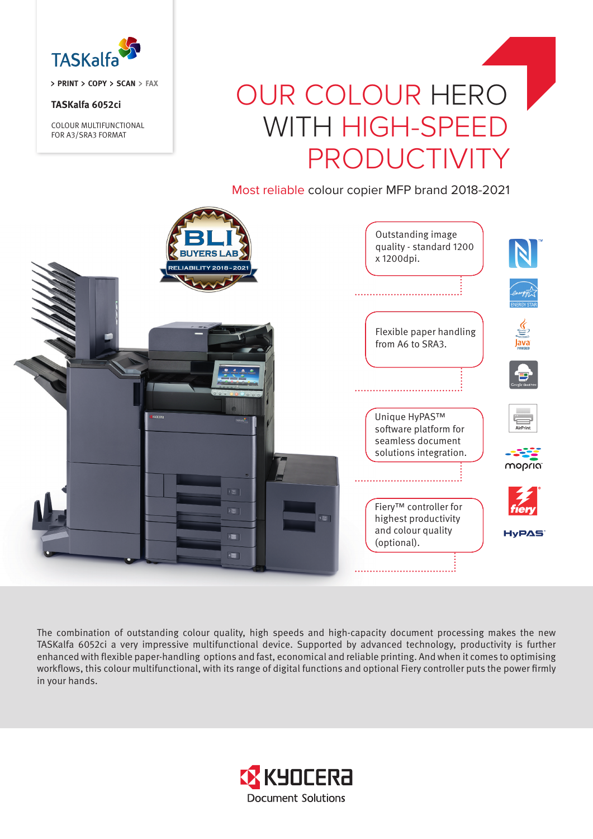

**PRINT COPY SCAN FAX**

## **TASKalfa 6052ci**

COLOUR MULTIFUNCTIONAL FOR A3/SRA3 FORMAT

# OUR COLOUR HERO WITH HIGH-SPEED PRODUCTIVITY

Most reliable colour copier MFP brand 2018-2021



The combination of outstanding colour quality, high speeds and high-capacity document processing makes the new TASKalfa 6052ci a very impressive multifunctional device. Supported by advanced technology, productivity is further enhanced with flexible paper-handling options and fast, economical and reliable printing. And when it comes to optimising workflows, this colour multifunctional, with its range of digital functions and optional Fiery controller puts the power firmly in your hands.